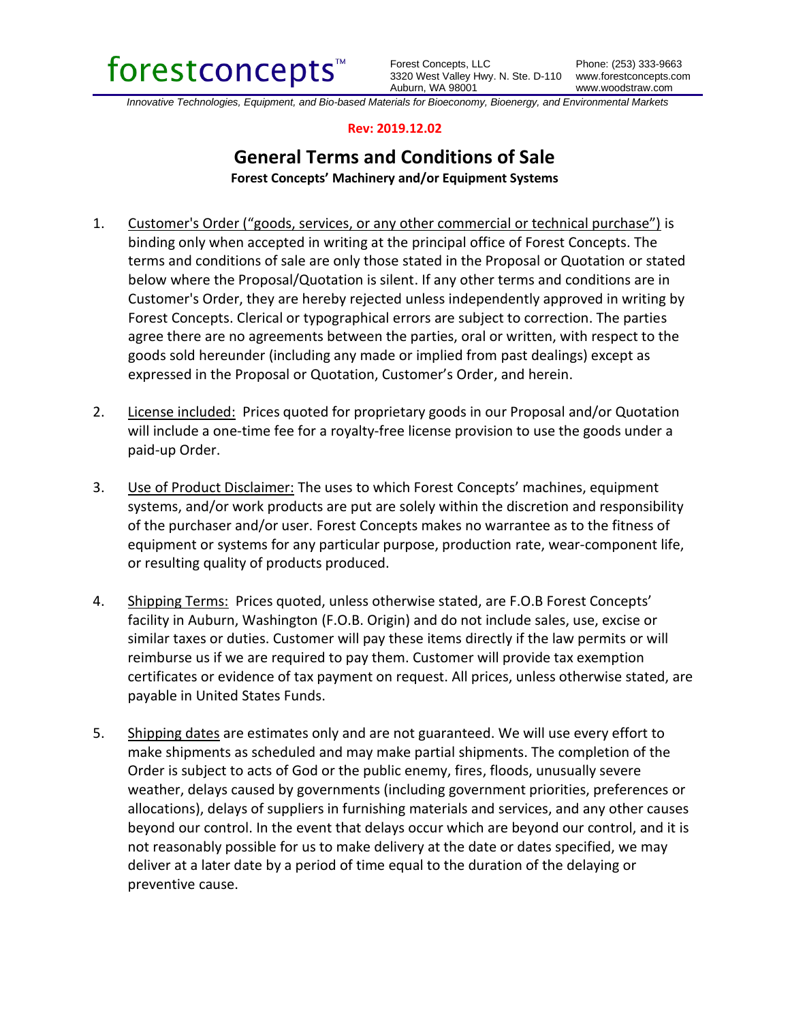

Forest Concepts, LLC 3320 West Valley Hwy. N. Ste. D-110 www.forestconcepts.com Auburn, WA 98001

*Innovative Technologies, Equipment, and Bio-based Materials for Bioeconomy, Bioenergy, and Environmental Markets*

## **Rev: 2019.12.02**

## **General Terms and Conditions of Sale Forest Concepts' Machinery and/or Equipment Systems**

1. Customer's Order ("goods, services, or any other commercial or technical purchase") is binding only when accepted in writing at the principal office of Forest Concepts. The terms and conditions of sale are only those stated in the Proposal or Quotation or stated

- below where the Proposal/Quotation is silent. If any other terms and conditions are in Customer's Order, they are hereby rejected unless independently approved in writing by Forest Concepts. Clerical or typographical errors are subject to correction. The parties agree there are no agreements between the parties, oral or written, with respect to the goods sold hereunder (including any made or implied from past dealings) except as expressed in the Proposal or Quotation, Customer's Order, and herein.
- 2. License included: Prices quoted for proprietary goods in our Proposal and/or Quotation will include a one-time fee for a royalty-free license provision to use the goods under a paid-up Order.
- 3. Use of Product Disclaimer: The uses to which Forest Concepts' machines, equipment systems, and/or work products are put are solely within the discretion and responsibility of the purchaser and/or user. Forest Concepts makes no warrantee as to the fitness of equipment or systems for any particular purpose, production rate, wear-component life, or resulting quality of products produced.
- 4. Shipping Terms: Prices quoted, unless otherwise stated, are F.O.B Forest Concepts' facility in Auburn, Washington (F.O.B. Origin) and do not include sales, use, excise or similar taxes or duties. Customer will pay these items directly if the law permits or will reimburse us if we are required to pay them. Customer will provide tax exemption certificates or evidence of tax payment on request. All prices, unless otherwise stated, are payable in United States Funds.
- 5. Shipping dates are estimates only and are not guaranteed. We will use every effort to make shipments as scheduled and may make partial shipments. The completion of the Order is subject to acts of God or the public enemy, fires, floods, unusually severe weather, delays caused by governments (including government priorities, preferences or allocations), delays of suppliers in furnishing materials and services, and any other causes beyond our control. In the event that delays occur which are beyond our control, and it is not reasonably possible for us to make delivery at the date or dates specified, we may deliver at a later date by a period of time equal to the duration of the delaying or preventive cause.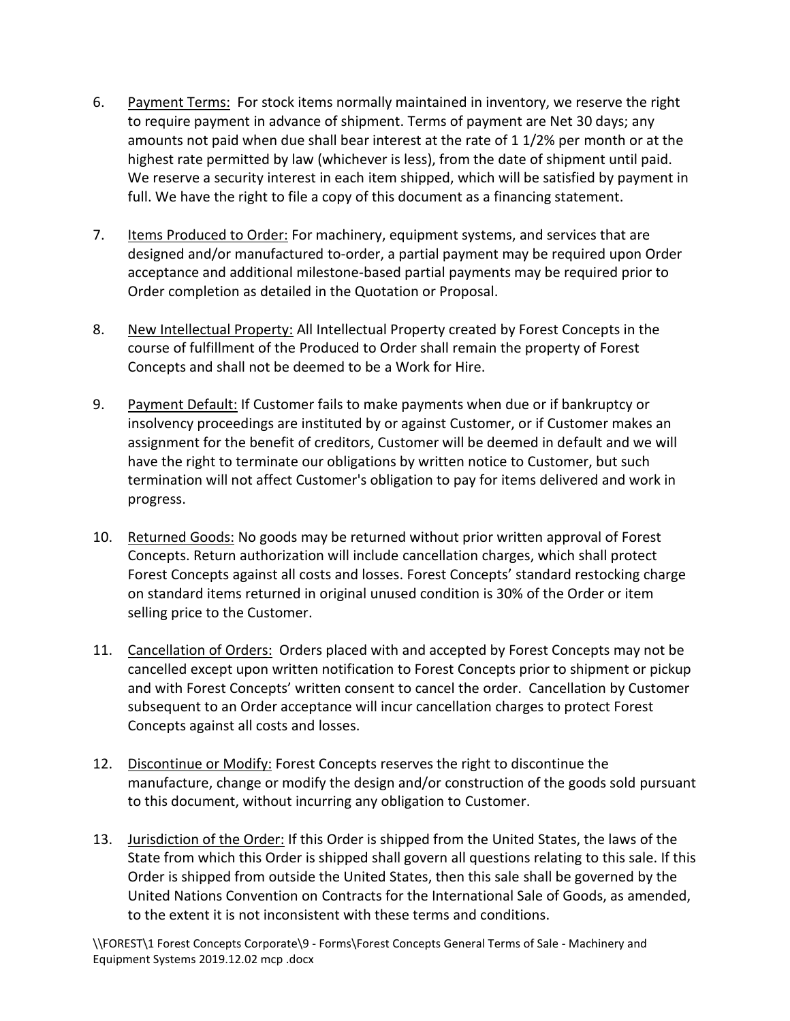- 6. Payment Terms: For stock items normally maintained in inventory, we reserve the right to require payment in advance of shipment. Terms of payment are Net 30 days; any amounts not paid when due shall bear interest at the rate of 1 1/2% per month or at the highest rate permitted by law (whichever is less), from the date of shipment until paid. We reserve a security interest in each item shipped, which will be satisfied by payment in full. We have the right to file a copy of this document as a financing statement.
- 7. Items Produced to Order: For machinery, equipment systems, and services that are designed and/or manufactured to-order, a partial payment may be required upon Order acceptance and additional milestone-based partial payments may be required prior to Order completion as detailed in the Quotation or Proposal.
- 8. New Intellectual Property: All Intellectual Property created by Forest Concepts in the course of fulfillment of the Produced to Order shall remain the property of Forest Concepts and shall not be deemed to be a Work for Hire.
- 9. Payment Default: If Customer fails to make payments when due or if bankruptcy or insolvency proceedings are instituted by or against Customer, or if Customer makes an assignment for the benefit of creditors, Customer will be deemed in default and we will have the right to terminate our obligations by written notice to Customer, but such termination will not affect Customer's obligation to pay for items delivered and work in progress.
- 10. Returned Goods: No goods may be returned without prior written approval of Forest Concepts. Return authorization will include cancellation charges, which shall protect Forest Concepts against all costs and losses. Forest Concepts' standard restocking charge on standard items returned in original unused condition is 30% of the Order or item selling price to the Customer.
- 11. Cancellation of Orders: Orders placed with and accepted by Forest Concepts may not be cancelled except upon written notification to Forest Concepts prior to shipment or pickup and with Forest Concepts' written consent to cancel the order. Cancellation by Customer subsequent to an Order acceptance will incur cancellation charges to protect Forest Concepts against all costs and losses.
- 12. Discontinue or Modify: Forest Concepts reserves the right to discontinue the manufacture, change or modify the design and/or construction of the goods sold pursuant to this document, without incurring any obligation to Customer.
- 13. Jurisdiction of the Order: If this Order is shipped from the United States, the laws of the State from which this Order is shipped shall govern all questions relating to this sale. If this Order is shipped from outside the United States, then this sale shall be governed by the United Nations Convention on Contracts for the International Sale of Goods, as amended, to the extent it is not inconsistent with these terms and conditions.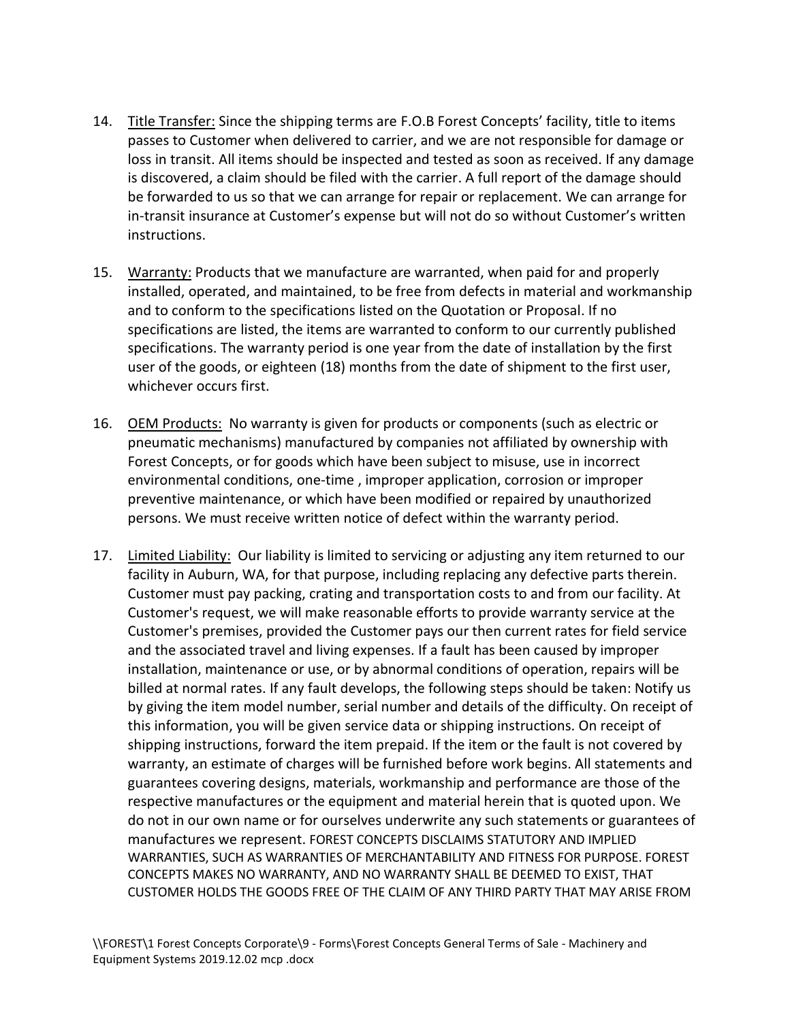- 14. Title Transfer: Since the shipping terms are F.O.B Forest Concepts' facility, title to items passes to Customer when delivered to carrier, and we are not responsible for damage or loss in transit. All items should be inspected and tested as soon as received. If any damage is discovered, a claim should be filed with the carrier. A full report of the damage should be forwarded to us so that we can arrange for repair or replacement. We can arrange for in-transit insurance at Customer's expense but will not do so without Customer's written instructions.
- 15. Warranty: Products that we manufacture are warranted, when paid for and properly installed, operated, and maintained, to be free from defects in material and workmanship and to conform to the specifications listed on the Quotation or Proposal. If no specifications are listed, the items are warranted to conform to our currently published specifications. The warranty period is one year from the date of installation by the first user of the goods, or eighteen (18) months from the date of shipment to the first user, whichever occurs first.
- 16. OEM Products: No warranty is given for products or components (such as electric or pneumatic mechanisms) manufactured by companies not affiliated by ownership with Forest Concepts, or for goods which have been subject to misuse, use in incorrect environmental conditions, one-time , improper application, corrosion or improper preventive maintenance, or which have been modified or repaired by unauthorized persons. We must receive written notice of defect within the warranty period.
- 17. Limited Liability: Our liability is limited to servicing or adjusting any item returned to our facility in Auburn, WA, for that purpose, including replacing any defective parts therein. Customer must pay packing, crating and transportation costs to and from our facility. At Customer's request, we will make reasonable efforts to provide warranty service at the Customer's premises, provided the Customer pays our then current rates for field service and the associated travel and living expenses. If a fault has been caused by improper installation, maintenance or use, or by abnormal conditions of operation, repairs will be billed at normal rates. If any fault develops, the following steps should be taken: Notify us by giving the item model number, serial number and details of the difficulty. On receipt of this information, you will be given service data or shipping instructions. On receipt of shipping instructions, forward the item prepaid. If the item or the fault is not covered by warranty, an estimate of charges will be furnished before work begins. All statements and guarantees covering designs, materials, workmanship and performance are those of the respective manufactures or the equipment and material herein that is quoted upon. We do not in our own name or for ourselves underwrite any such statements or guarantees of manufactures we represent. FOREST CONCEPTS DISCLAIMS STATUTORY AND IMPLIED WARRANTIES, SUCH AS WARRANTIES OF MERCHANTABILITY AND FITNESS FOR PURPOSE. FOREST CONCEPTS MAKES NO WARRANTY, AND NO WARRANTY SHALL BE DEEMED TO EXIST, THAT CUSTOMER HOLDS THE GOODS FREE OF THE CLAIM OF ANY THIRD PARTY THAT MAY ARISE FROM